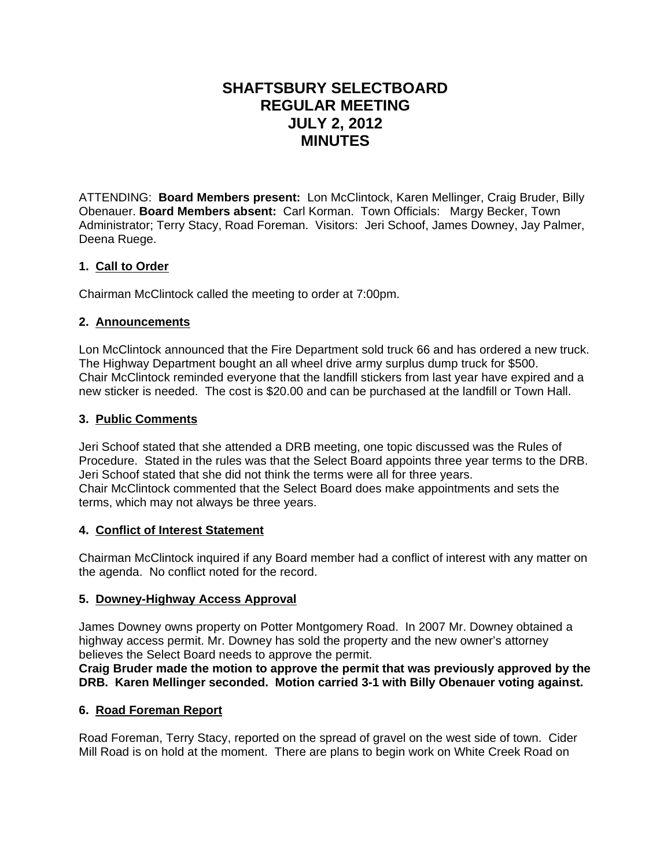# **SHAFTSBURY SELECTBOARD REGULAR MEETING JULY 2, 2012 MINUTES**

ATTENDING: **Board Members present:** Lon McClintock, Karen Mellinger, Craig Bruder, Billy Obenauer. **Board Members absent:** Carl Korman. Town Officials: Margy Becker, Town Administrator; Terry Stacy, Road Foreman. Visitors: Jeri Schoof, James Downey, Jay Palmer, Deena Ruege.

# **1. Call to Order**

Chairman McClintock called the meeting to order at 7:00pm.

# **2. Announcements**

Lon McClintock announced that the Fire Department sold truck 66 and has ordered a new truck. The Highway Department bought an all wheel drive army surplus dump truck for \$500. Chair McClintock reminded everyone that the landfill stickers from last year have expired and a new sticker is needed. The cost is \$20.00 and can be purchased at the landfill or Town Hall.

# **3. Public Comments**

Jeri Schoof stated that she attended a DRB meeting, one topic discussed was the Rules of Procedure. Stated in the rules was that the Select Board appoints three year terms to the DRB. Jeri Schoof stated that she did not think the terms were all for three years. Chair McClintock commented that the Select Board does make appointments and sets the terms, which may not always be three years.

## **4. Conflict of Interest Statement**

Chairman McClintock inquired if any Board member had a conflict of interest with any matter on the agenda. No conflict noted for the record.

# **5. Downey-Highway Access Approval**

James Downey owns property on Potter Montgomery Road. In 2007 Mr. Downey obtained a highway access permit. Mr. Downey has sold the property and the new owner's attorney believes the Select Board needs to approve the permit.

**Craig Bruder made the motion to approve the permit that was previously approved by the DRB. Karen Mellinger seconded. Motion carried 3-1 with Billy Obenauer voting against.**

## **6. Road Foreman Report**

Road Foreman, Terry Stacy, reported on the spread of gravel on the west side of town. Cider Mill Road is on hold at the moment. There are plans to begin work on White Creek Road on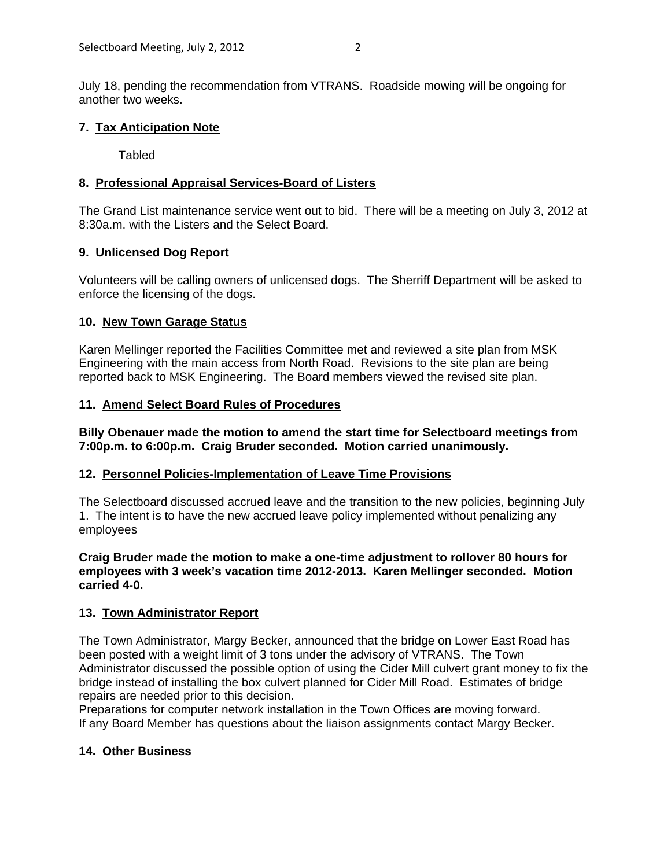July 18, pending the recommendation from VTRANS. Roadside mowing will be ongoing for another two weeks.

## **7. Tax Anticipation Note**

Tabled

# **8. Professional Appraisal Services-Board of Listers**

The Grand List maintenance service went out to bid. There will be a meeting on July 3, 2012 at 8:30a.m. with the Listers and the Select Board.

## **9. Unlicensed Dog Report**

Volunteers will be calling owners of unlicensed dogs. The Sherriff Department will be asked to enforce the licensing of the dogs.

## **10. New Town Garage Status**

Karen Mellinger reported the Facilities Committee met and reviewed a site plan from MSK Engineering with the main access from North Road. Revisions to the site plan are being reported back to MSK Engineering. The Board members viewed the revised site plan.

# **11. Amend Select Board Rules of Procedures**

**Billy Obenauer made the motion to amend the start time for Selectboard meetings from 7:00p.m. to 6:00p.m. Craig Bruder seconded. Motion carried unanimously.**

## **12. Personnel Policies-Implementation of Leave Time Provisions**

The Selectboard discussed accrued leave and the transition to the new policies, beginning July 1. The intent is to have the new accrued leave policy implemented without penalizing any employees

**Craig Bruder made the motion to make a one-time adjustment to rollover 80 hours for employees with 3 week's vacation time 2012-2013. Karen Mellinger seconded. Motion carried 4-0.**

# **13. Town Administrator Report**

The Town Administrator, Margy Becker, announced that the bridge on Lower East Road has been posted with a weight limit of 3 tons under the advisory of VTRANS. The Town Administrator discussed the possible option of using the Cider Mill culvert grant money to fix the bridge instead of installing the box culvert planned for Cider Mill Road. Estimates of bridge repairs are needed prior to this decision.

Preparations for computer network installation in the Town Offices are moving forward. If any Board Member has questions about the liaison assignments contact Margy Becker.

# **14. Other Business**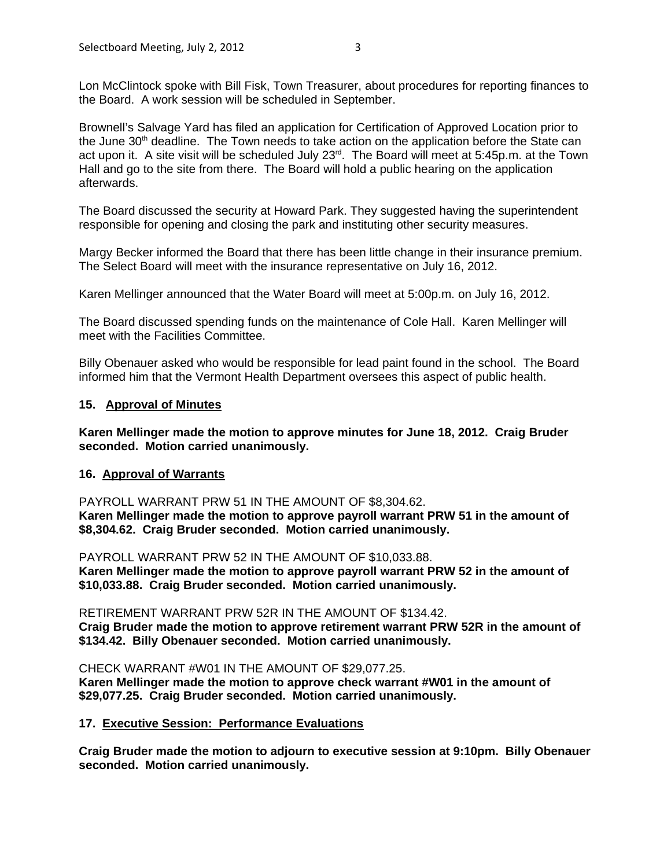Lon McClintock spoke with Bill Fisk, Town Treasurer, about procedures for reporting finances to the Board. A work session will be scheduled in September.

Brownell's Salvage Yard has filed an application for Certification of Approved Location prior to the June  $30<sup>th</sup>$  deadline. The Town needs to take action on the application before the State can act upon it. A site visit will be scheduled July 23<sup>rd</sup>. The Board will meet at 5:45p.m. at the Town Hall and go to the site from there. The Board will hold a public hearing on the application afterwards.

The Board discussed the security at Howard Park. They suggested having the superintendent responsible for opening and closing the park and instituting other security measures.

Margy Becker informed the Board that there has been little change in their insurance premium. The Select Board will meet with the insurance representative on July 16, 2012.

Karen Mellinger announced that the Water Board will meet at 5:00p.m. on July 16, 2012.

The Board discussed spending funds on the maintenance of Cole Hall. Karen Mellinger will meet with the Facilities Committee.

Billy Obenauer asked who would be responsible for lead paint found in the school. The Board informed him that the Vermont Health Department oversees this aspect of public health.

#### **15. Approval of Minutes**

**Karen Mellinger made the motion to approve minutes for June 18, 2012. Craig Bruder seconded. Motion carried unanimously.**

#### **16. Approval of Warrants**

PAYROLL WARRANT PRW 51 IN THE AMOUNT OF \$8,304.62. **Karen Mellinger made the motion to approve payroll warrant PRW 51 in the amount of \$8,304.62. Craig Bruder seconded. Motion carried unanimously.**

PAYROLL WARRANT PRW 52 IN THE AMOUNT OF \$10,033.88. **Karen Mellinger made the motion to approve payroll warrant PRW 52 in the amount of \$10,033.88. Craig Bruder seconded. Motion carried unanimously.**

RETIREMENT WARRANT PRW 52R IN THE AMOUNT OF \$134.42. **Craig Bruder made the motion to approve retirement warrant PRW 52R in the amount of \$134.42. Billy Obenauer seconded. Motion carried unanimously.**

CHECK WARRANT #W01 IN THE AMOUNT OF \$29,077.25. **Karen Mellinger made the motion to approve check warrant #W01 in the amount of \$29,077.25. Craig Bruder seconded. Motion carried unanimously.**

#### **17. Executive Session: Performance Evaluations**

**Craig Bruder made the motion to adjourn to executive session at 9:10pm. Billy Obenauer seconded. Motion carried unanimously.**